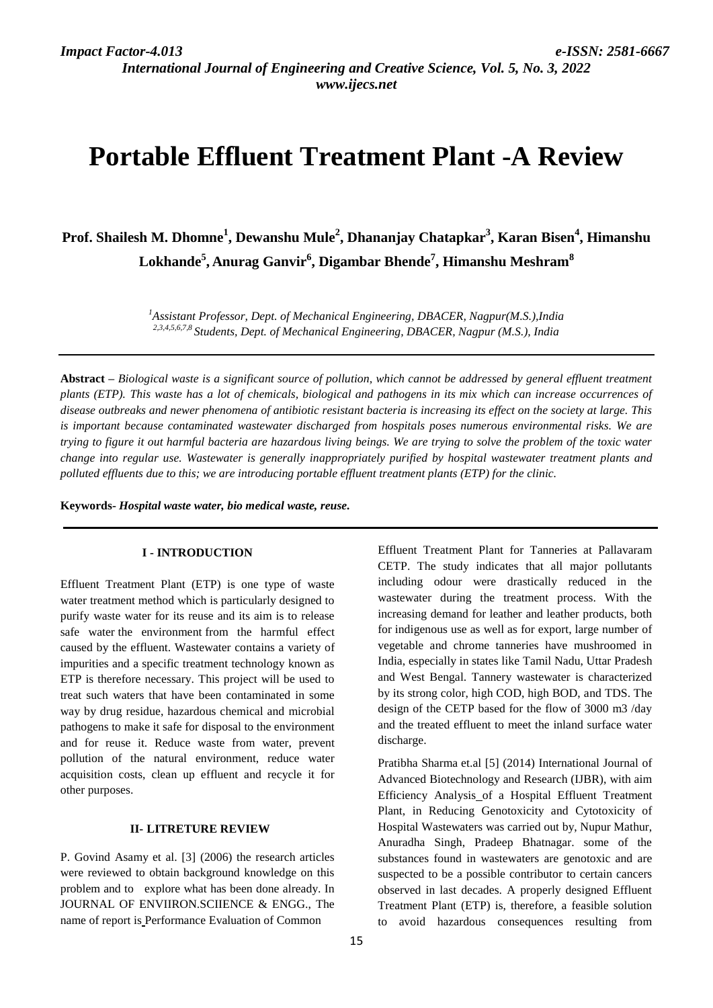*International Journal of Engineering and Creative Science, Vol. 5, No. 3, 2022 www.ijecs.net*

# **Portable Effluent Treatment Plant -A Review**

**Prof. Shailesh M. Dhomne<sup>1</sup> , Dewanshu Mule<sup>2</sup> , Dhananjay Chatapkar<sup>3</sup> , Karan Bisen<sup>4</sup> , Himanshu Lokhande<sup>5</sup> , Anurag Ganvir<sup>6</sup> , Digambar Bhende<sup>7</sup> , Himanshu Meshram<sup>8</sup>**

> *<sup>1</sup>Assistant Professor, Dept. of Mechanical Engineering, DBACER, Nagpur(M.S.),India 2,3,4,5,6,7,8 Students, Dept. of Mechanical Engineering, DBACER, Nagpur (M.S.), India*

**Abstract** *– Biological waste is a significant source of pollution, which cannot be addressed by general effluent treatment plants (ETP). This waste has a lot of chemicals, biological and pathogens in its mix which can increase occurrences of disease outbreaks and newer phenomena of antibiotic resistant bacteria is increasing its effect on the society at large. This is important because contaminated wastewater discharged from hospitals poses numerous environmental risks. We are trying to figure it out harmful bacteria are hazardous living beings. We are trying to solve the problem of the toxic water change into regular use. Wastewater is generally inappropriately purified by hospital wastewater treatment plants and polluted effluents due to this; we are introducing portable effluent treatment plants (ETP) for the clinic.*

**Keywords-** *Hospital waste water, bio medical waste, reuse.*

### **I - INTRODUCTION**

Effluent Treatment Plant (ETP) is one type of waste water treatment method which is particularly designed to purify waste water for its reuse and its aim is to release safe water the environment from the harmful effect caused by the effluent. Wastewater contains a variety of impurities and a specific treatment technology known as ETP is therefore necessary. This project will be used to treat such waters that have been contaminated in some way by drug residue, hazardous chemical and microbial pathogens to make it safe for disposal to the environment and for reuse it. Reduce waste from water, prevent pollution of the natural environment, reduce water acquisition costs, clean up effluent and recycle it for other purposes.

#### **II- LITRETURE REVIEW**

P. Govind Asamy et al. [3] (2006) the research articles were reviewed to obtain background knowledge on this problem and to explore what has been done already. In JOURNAL OF ENVIIRON.SCIIENCE & ENGG., The name of report is Performance Evaluation of Common

Effluent Treatment Plant for Tanneries at Pallavaram CETP. The study indicates that all major pollutants including odour were drastically reduced in the wastewater during the treatment process. With the increasing demand for leather and leather products, both for indigenous use as well as for export, large number of vegetable and chrome tanneries have mushroomed in India, especially in states like Tamil Nadu, Uttar Pradesh and West Bengal. Tannery wastewater is characterized by its strong color, high COD, high BOD, and TDS. The design of the CETP based for the flow of 3000 m3 /day and the treated effluent to meet the inland surface water discharge.

Pratibha Sharma et.al [5] (2014) International Journal of Advanced Biotechnology and Research (IJBR), with aim Efficiency Analysis of a Hospital Effluent Treatment Plant, in Reducing Genotoxicity and Cytotoxicity of Hospital Wastewaters was carried out by, Nupur Mathur, Anuradha Singh, Pradeep Bhatnagar. some of the substances found in wastewaters are genotoxic and are suspected to be a possible contributor to certain cancers observed in last decades. A properly designed Effluent Treatment Plant (ETP) is, therefore, a feasible solution to avoid hazardous consequences resulting from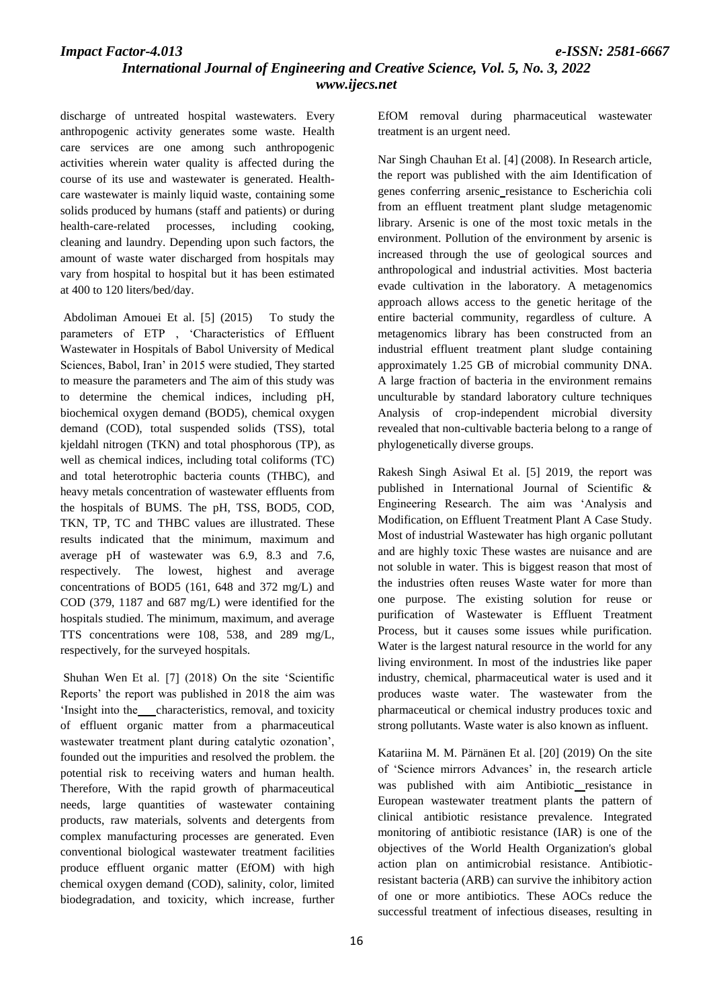*International Journal of Engineering and Creative Science, Vol. 5, No. 3, 2022 www.ijecs.net*

discharge of untreated hospital wastewaters. Every anthropogenic activity generates some waste. Health care services are one among such anthropogenic activities wherein water quality is affected during the course of its use and wastewater is generated. Healthcare wastewater is mainly liquid waste, containing some solids produced by humans (staff and patients) or during health-care-related processes, including cooking, cleaning and laundry. Depending upon such factors, the amount of waste water discharged from hospitals may vary from hospital to hospital but it has been estimated at 400 to 120 liters/bed/day.

Abdoliman Amouei Et al. [5] (2015)To study the parameters of ETP , 'Characteristics of Effluent Wastewater in Hospitals of Babol University of Medical Sciences, Babol, Iran' in 2015 were studied, They started to measure the parameters and The aim of this study was to determine the chemical indices, including pH, biochemical oxygen demand (BOD5), chemical oxygen demand (COD), total suspended solids (TSS), total kjeldahl nitrogen (TKN) and total phosphorous (TP), as well as chemical indices, including total coliforms (TC) and total heterotrophic bacteria counts (THBC), and heavy metals concentration of wastewater effluents from the hospitals of BUMS. The pH, TSS, BOD5, COD, TKN, TP, TC and THBC values are illustrated. These results indicated that the minimum, maximum and average pH of wastewater was 6.9, 8.3 and 7.6, respectively. The lowest, highest and average concentrations of BOD5 (161, 648 and 372 mg/L) and COD (379, 1187 and 687 mg/L) were identified for the hospitals studied. The minimum, maximum, and average TTS concentrations were 108, 538, and 289 mg/L, respectively, for the surveyed hospitals.

Shuhan Wen Et al. [7] (2018) On the site 'Scientific Reports' the report was published in 2018 the aim was 'Insight into thecharacteristics, removal, and toxicity of effluent organic matter from a pharmaceutical wastewater treatment plant during catalytic ozonation', founded out the impurities and resolved the problem. the potential risk to receiving waters and human health. Therefore, With the rapid growth of pharmaceutical needs, large quantities of wastewater containing products, raw materials, solvents and detergents from complex manufacturing processes are generated. Even conventional biological wastewater treatment facilities produce effluent organic matter (EfOM) with high chemical oxygen demand (COD), salinity, color, limited biodegradation, and toxicity, which increase, further

EfOM removal during pharmaceutical wastewater treatment is an urgent need.

Nar Singh Chauhan Et al. [4] (2008). In Research article, the report was published with the aim Identification of genes conferring arsenic resistance to Escherichia coli from an effluent treatment plant sludge metagenomic library. Arsenic is one of the most toxic metals in the environment. Pollution of the environment by arsenic is increased through the use of geological sources and anthropological and industrial activities. Most bacteria evade cultivation in the laboratory. A metagenomics approach allows access to the genetic heritage of the entire bacterial community, regardless of culture. A metagenomics library has been constructed from an industrial effluent treatment plant sludge containing approximately 1.25 GB of microbial community DNA. A large fraction of bacteria in the environment remains unculturable by standard laboratory culture techniques Analysis of crop-independent microbial diversity revealed that non-cultivable bacteria belong to a range of phylogenetically diverse groups.

Rakesh Singh Asiwal Et al. [5] 2019, the report was published in International Journal of Scientific & Engineering Research. The aim was 'Analysis and Modification, on Effluent Treatment Plant A Case Study. Most of industrial Wastewater has high organic pollutant and are highly toxic These wastes are nuisance and are not soluble in water. This is biggest reason that most of the industries often reuses Waste water for more than one purpose. The existing solution for reuse or purification of Wastewater is Effluent Treatment Process, but it causes some issues while purification. Water is the largest natural resource in the world for any living environment. In most of the industries like paper industry, chemical, pharmaceutical water is used and it produces waste water. The wastewater from the pharmaceutical or chemical industry produces toxic and strong pollutants. Waste water is also known as influent.

Katariina M. M. Pärnänen Et al. [20] (2019) On the site of 'Science mirrors Advances' in, the research article was published with aim Antibiotic resistance in European wastewater treatment plants the pattern of clinical antibiotic resistance prevalence. Integrated monitoring of antibiotic resistance (IAR) is one of the objectives of the World Health Organization's global action plan on antimicrobial resistance. Antibioticresistant bacteria (ARB) can survive the inhibitory action of one or more antibiotics. These AOCs reduce the successful treatment of infectious diseases, resulting in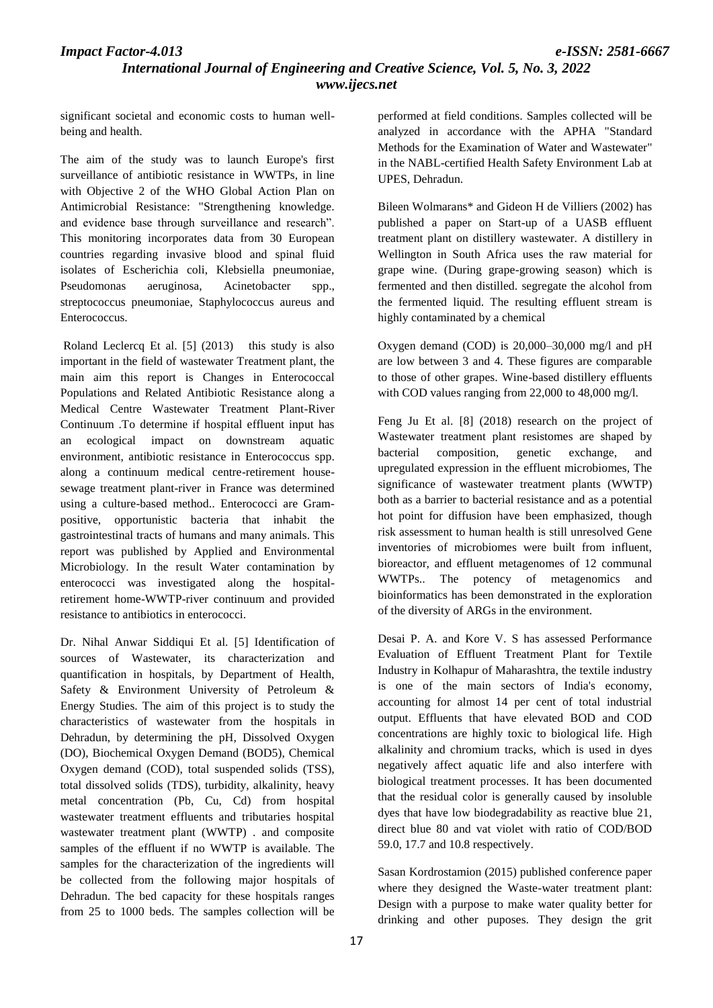# *International Journal of Engineering and Creative Science, Vol. 5, No. 3, 2022 www.ijecs.net*

significant societal and economic costs to human wellbeing and health.

The aim of the study was to launch Europe's first surveillance of antibiotic resistance in WWTPs, in line with Objective 2 of the WHO Global Action Plan on Antimicrobial Resistance: "Strengthening knowledge. and evidence base through surveillance and research". This monitoring incorporates data from 30 European countries regarding invasive blood and spinal fluid isolates of Escherichia coli, Klebsiella pneumoniae, Pseudomonas aeruginosa, Acinetobacter spp., streptococcus pneumoniae, Staphylococcus aureus and Enterococcus.

Roland Leclercq Et al. [5] (2013) this study is also important in the field of wastewater Treatment plant, the main aim this report is Changes in Enterococcal Populations and Related Antibiotic Resistance along a Medical Centre Wastewater Treatment Plant-River Continuum .To determine if hospital effluent input has an ecological impact on downstream aquatic environment, antibiotic resistance in Enterococcus spp. along a continuum medical centre-retirement housesewage treatment plant-river in France was determined using a culture-based method.. Enterococci are Grampositive, opportunistic bacteria that inhabit the gastrointestinal tracts of humans and many animals. This report was published by Applied and Environmental Microbiology. In the result Water contamination by enterococci was investigated along the hospitalretirement home-WWTP-river continuum and provided resistance to antibiotics in enterococci.

Dr. Nihal Anwar Siddiqui Et al. [5] Identification of sources of Wastewater, its characterization and quantification in hospitals, by Department of Health, Safety & Environment University of Petroleum & Energy Studies. The aim of this project is to study the characteristics of wastewater from the hospitals in Dehradun, by determining the pH, Dissolved Oxygen (DO), Biochemical Oxygen Demand (BOD5), Chemical Oxygen demand (COD), total suspended solids (TSS), total dissolved solids (TDS), turbidity, alkalinity, heavy metal concentration (Pb, Cu, Cd) from hospital wastewater treatment effluents and tributaries hospital wastewater treatment plant (WWTP) . and composite samples of the effluent if no WWTP is available. The samples for the characterization of the ingredients will be collected from the following major hospitals of Dehradun. The bed capacity for these hospitals ranges from 25 to 1000 beds. The samples collection will be

performed at field conditions. Samples collected will be analyzed in accordance with the APHA "Standard Methods for the Examination of Water and Wastewater" in the NABL-certified Health Safety Environment Lab at UPES, Dehradun.

Bileen Wolmarans\* and Gideon H de Villiers (2002) has published a paper on Start-up of a UASB effluent treatment plant on distillery wastewater. A distillery in Wellington in South Africa uses the raw material for grape wine. (During grape-growing season) which is fermented and then distilled. segregate the alcohol from the fermented liquid. The resulting effluent stream is highly contaminated by a chemical

Oxygen demand (COD) is 20,000–30,000 mg/l and pH are low between 3 and 4. These figures are comparable to those of other grapes. Wine-based distillery effluents with COD values ranging from 22,000 to 48,000 mg/l.

Feng Ju Et al. [8] (2018) research on the project of Wastewater treatment plant resistomes are shaped by bacterial composition, genetic exchange, and upregulated expression in the effluent microbiomes, The significance of wastewater treatment plants (WWTP) both as a barrier to bacterial resistance and as a potential hot point for diffusion have been emphasized, though risk assessment to human health is still unresolved Gene inventories of microbiomes were built from influent, bioreactor, and effluent metagenomes of 12 communal WWTPs.. The potency of metagenomics and bioinformatics has been demonstrated in the exploration of the diversity of ARGs in the environment.

Desai P. A. and Kore V. S has assessed Performance Evaluation of Effluent Treatment Plant for Textile Industry in Kolhapur of Maharashtra, the textile industry is one of the main sectors of India's economy, accounting for almost 14 per cent of total industrial output. Effluents that have elevated BOD and COD concentrations are highly toxic to biological life. High alkalinity and chromium tracks, which is used in dyes negatively affect aquatic life and also interfere with biological treatment processes. It has been documented that the residual color is generally caused by insoluble dyes that have low biodegradability as reactive blue 21, direct blue 80 and vat violet with ratio of COD/BOD 59.0, 17.7 and 10.8 respectively.

Sasan Kordrostamion (2015) published conference paper where they designed the Waste-water treatment plant: Design with a purpose to make water quality better for drinking and other puposes. They design the grit